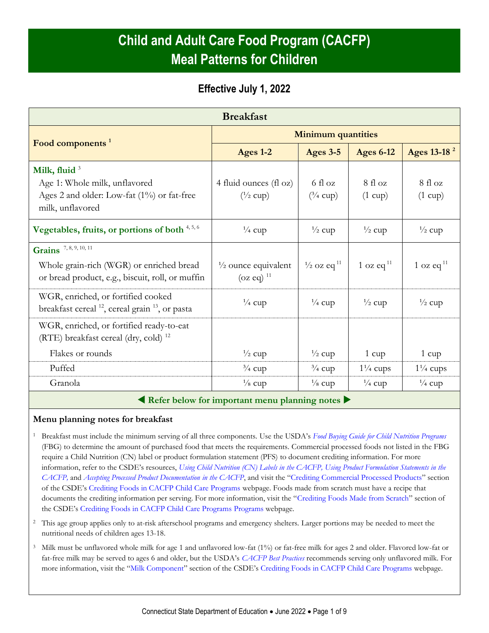# **Child and Adult Care Food Program (CACFP) Meal Patterns for Children**

## **Effective July 1, 2022**

| <b>Breakfast</b>                                                                                                       |                                                                  |                                   |                            |                            |  |  |  |
|------------------------------------------------------------------------------------------------------------------------|------------------------------------------------------------------|-----------------------------------|----------------------------|----------------------------|--|--|--|
|                                                                                                                        | <b>Minimum quantities</b>                                        |                                   |                            |                            |  |  |  |
| Food components <sup>1</sup>                                                                                           | Ages 1-2                                                         | <b>Ages 3-5</b>                   | <b>Ages 6-12</b>           | Ages 13-18 <sup>2</sup>    |  |  |  |
| Milk, fluid $3$<br>Age 1: Whole milk, unflavored<br>Ages 2 and older: Low-fat $(1\%)$ or fat-free<br>milk, unflavored  | 4 fluid ounces (fl oz)<br>$\left(\frac{1}{2} \text{ cup}\right)$ | 6 fl oz<br>$(^3/4$ cup)           | 8f1oz<br>$(1 \text{ cup})$ | 8f1oz<br>$(1 \text{ cup})$ |  |  |  |
| Vegetables, fruits, or portions of both 4,5,6                                                                          | $\frac{1}{4}$ cup                                                | $\frac{1}{2}$ cup                 | $\frac{1}{2}$ cup          | $\frac{1}{2}$ cup          |  |  |  |
| Grains 7, 8, 9, 10, 11<br>Whole grain-rich (WGR) or enriched bread<br>or bread product, e.g., biscuit, roll, or muffin | $\frac{1}{2}$ ounce equivalent<br>$(oz eq)$ <sup>11</sup>        | $\frac{1}{2}$ oz eq <sup>11</sup> | 1 oz eq $^{11}$            | 1 oz eq $^{11}$            |  |  |  |
| WGR, enriched, or fortified cooked<br>breakfast cereal $^{12}$ , cereal grain $^{13}$ , or pasta                       | $\frac{1}{4}$ cup                                                | $\frac{1}{4}$ cup                 | $\frac{1}{2}$ cup          | $\frac{1}{2}$ cup          |  |  |  |
| WGR, enriched, or fortified ready-to-eat<br>(RTE) breakfast cereal (dry, cold) $^{12}$                                 |                                                                  |                                   |                            |                            |  |  |  |
| Flakes or rounds                                                                                                       | $\frac{1}{2}$ cup                                                | $\frac{1}{2}$ cup                 | $1 \text{ cup}$            | $1 \text{ cup}$            |  |  |  |
| Puffed                                                                                                                 | $\frac{3}{4}$ cup                                                | $\frac{3}{4}$ cup                 | $1\frac{1}{4}$ cups        | $1\frac{1}{4}$ cups        |  |  |  |
| Granola                                                                                                                | $\frac{1}{8}$ cup                                                | $\frac{1}{8}$ cup                 | $\frac{1}{4}$ cup          | $\frac{1}{4}$ cup          |  |  |  |

**Refer below for important menu planning notes**

### **Menu planning notes for breakfast**

- <sup>1</sup> Breakfast must include the minimum serving of all three components. Use the USDA's *[Food Buying Guide for Child Nutrition Programs](https://www.fns.usda.gov/tn/food-buying-guide-for-child-nutrition-programs)* (FBG) to determine the amount of purchased food that meets the requirements. Commercial processed foods not listed in the FBG require a Child Nutrition (CN) label or product formulation statement (PFS) to document crediting information. For more information, refer to the CSDE's resources, *[Using Child Nutrition \(CN\) Labels in the CACFP,](https://portal.ct.gov/-/media/SDE/Nutrition/CACFP/Crediting/Using_CN_labels_CACFP.pdf) [Using Product Formulation Statements in the](https://portal.ct.gov/-/media/SDE/Nutrition/CACFP/Crediting/Using_Product_Formulation_Statements_CACFP.pdf)  [CACFP,](https://portal.ct.gov/-/media/SDE/Nutrition/CACFP/Crediting/Using_Product_Formulation_Statements_CACFP.pdf)* and *[Accepting Processed Product Documentation](https://portal.ct.gov/-/media/SDE/Nutrition/CACFP/Crediting/Accepting_Processed_Product_Documentation_CACFP.pdf) in the CACFP*, and visit the "[Crediting Commercial Processed Products](https://portal.ct.gov/SDE/Nutrition/Crediting-Foods-in-CACFP-Child-Care-Programs/Documents#CommercialProducts)" section of the CSDE's [Crediting Foods in CACFP Child Care Programs](https://portal.ct.gov/SDE/Nutrition/Crediting-Foods-in-CACFP-Child-Care-Programs/Documents) webpage. Foods made from scratch must have a recipe that documents the crediting information per serving. For more information, visit the "[Crediting Foods Made from Scratch](https://portal.ct.gov/SDE/Nutrition/Crediting-Foods-in-CACFP-Child-Care-Programs/Documents#ScratchFoods)" section of the CSDE's [Crediting Foods in CACFP Child Care Programs](https://portal.ct.gov/SDE/Nutrition/Crediting-Foods-in-CACFP-Child-Care-Programs/Documents) Programs webpage.
- <sup>2</sup> This age group applies only to at-risk afterschool programs and emergency shelters. Larger portions may be needed to meet the nutritional needs of children ages 13-18.
- <sup>3</sup> Milk must be unflavored whole milk for age 1 and unflavored low-fat (1%) or fat-free milk for ages 2 and older. Flavored low-fat or fat-free milk may be served to ages 6 and older, but the USDA's *[CACFP Best Practices](https://fns-prod.azureedge.us/sites/default/files/cacfp/CACFP_factBP.pdf)* recommends serving only unflavored milk. For more information, visit the "[Milk Component](https://portal.ct.gov/SDE/Nutrition/Crediting-Foods-in-CACFP-Child-Care-Programs/Documents#Milk)" section of the CSDE's [Crediting Foods in CACFP Child Care Programs](https://portal.ct.gov/SDE/Nutrition/Crediting-Foods-in-CACFP-Child-Care-Programs/Documents) webpage.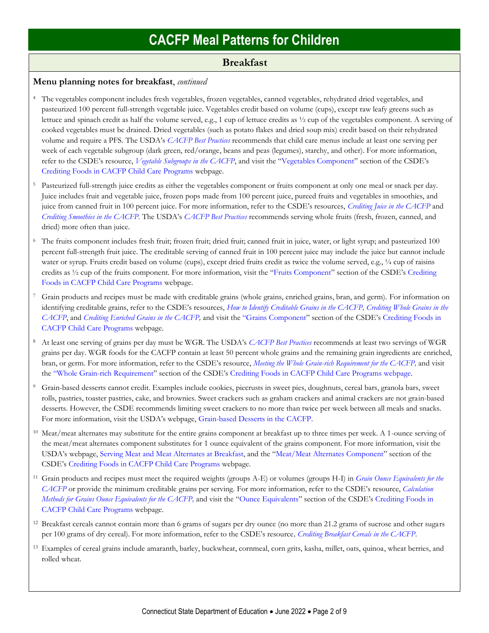### **Breakfast**

#### **Menu planning notes for breakfast**, *continued*

- <sup>4</sup> The vegetables component includes fresh vegetables, frozen vegetables, canned vegetables, rehydrated dried vegetables, and pasteurized 100 percent full-strength vegetable juice. Vegetables credit based on volume (cups), except raw leafy greens such as lettuce and spinach credit as half the volume served, e.g., 1 cup of lettuce credits as ½ cup of the vegetables component. A serving of cooked vegetables must be drained. Dried vegetables (such as potato flakes and dried soup mix) credit based on their rehydrated volume and require a PFS. The USDA's *[CACFP Best Practices](https://fns-prod.azureedge.us/sites/default/files/cacfp/CACFP_factBP.pdf)* recommends that child care menus include at least one serving per week of each vegetable subgroup (dark green, red/orange, beans and peas (legumes), starchy, and other). For more information, refer to the CSDE's resource, *[Vegetable Subgroups in the CACFP](https://portal.ct.gov/-/media/SDE/Nutrition/CACFP/Crediting/Vegetable_Subgroups_CACFP.pdf)*, and visit the "[Vegetables Component](https://portal.ct.gov/SDE/Nutrition/Crediting-Foods-in-CACFP-Child-Care-Programs/Documents#Vegetables)" section of the CSDE's [Crediting Foods in CACFP Child Care Programs](https://portal.ct.gov/SDE/Nutrition/Crediting-Foods-in-CACFP-Child-Care-Programs/Documents) webpage.
- Pasteurized full-strength juice credits as either the vegetables component or fruits component at only one meal or snack per day. Juice includes fruit and vegetable juice, frozen pops made from 100 percent juice, pureed fruits and vegetables in smoothies, and juice from canned fruit in 100 percent juice. For more information, refer to the CSDE's resources, *[Crediting Juice in the CACFP](https://portal.ct.gov/-/media/SDE/Nutrition/CACFP/Crediting/Credit_Juice_CACFP.pdf)* and *[Crediting Smoothies in the CACFP.](https://portal.ct.gov/-/media/SDE/Nutrition/CACFP/Crediting/Credit_Smoothies_CACFP.pdf)* The USDA's *[CACFP Best Practices](https://fns-prod.azureedge.us/sites/default/files/cacfp/CACFP_factBP.pdf)* recommends serving whole fruits (fresh, frozen, canned, and dried) more often than juice.
- <sup>6</sup> The fruits component includes fresh fruit; frozen fruit; dried fruit; canned fruit in juice, water, or light syrup; and pasteurized 100 percent full-strength fruit juice. The creditable serving of canned fruit in 100 percent juice may include the juice but cannot include water or syrup. Fruits credit based on volume (cups), except dried fruits credit as twice the volume served, e.g., 1/4 cup of raisins credits as ½ cup of the fruits component. For more information, visit the "[Fruits Component](https://portal.ct.gov/SDE/Nutrition/Crediting-Foods-in-CACFP-Child-Care-Programs/Documents#Fruits)" section of the CSDE's [Crediting](https://portal.ct.gov/SDE/Nutrition/Crediting-Foods-in-CACFP-Child-Care-Programs/Documents)  [Foods in CACFP Child Care Programs](https://portal.ct.gov/SDE/Nutrition/Crediting-Foods-in-CACFP-Child-Care-Programs/Documents) webpage.
- <sup>7</sup> Grain products and recipes must be made with creditable grains (whole grains, enriched grains, bran, and germ). For information on identifying creditable grains, refer to the CSDE's resources, *[How to Identify Creditable Grains in the CACFP,](https://portal.ct.gov/-/media/SDE/Nutrition/CACFP/Crediting/Identify_Creditable_Grains_CACFP.pdf) [Crediting Whole Grains in the](https://portal.ct.gov/-/media/SDE/Nutrition/CACFP/Crediting/Credit_Whole_Grains_CACFP.pdf)  [CACFP](https://portal.ct.gov/-/media/SDE/Nutrition/CACFP/Crediting/Credit_Whole_Grains_CACFP.pdf)*, and *[Crediting Enriched Grains in the CACFP,](https://portal.ct.gov/-/media/SDE/Nutrition/CACFP/Crediting/Credit_Enriched_Grains_CACFP.pdf)* and visit the "[Grains Component](https://portal.ct.gov/SDE/Nutrition/Crediting-Foods-in-CACFP-Child-Care-Programs/Documents#Grains)" section of the CSDE's [Crediting Foods in](https://portal.ct.gov/SDE/Nutrition/Crediting-Foods-in-CACFP-Child-Care-Programs/Documents)  [CACFP Child Care Programs](https://portal.ct.gov/SDE/Nutrition/Crediting-Foods-in-CACFP-Child-Care-Programs/Documents) webpage.
- <sup>8</sup> At least one serving of grains per day must be WGR. The USDA's *[CACFP Best Practices](https://fns-prod.azureedge.us/sites/default/files/cacfp/CACFP_factBP.pdf)* recommends at least two servings of WGR grains per day. WGR foods for the CACFP contain at least 50 percent whole grains and the remaining grain ingredients are enriched, bran, or germ. For more information, refer to the CSDE's resource, *[Meeting the Whole Grain-rich Requirement for the CACFP,](https://portal.ct.gov/-/media/SDE/Nutrition/CACFP/Crediting/WGR_Requirement_CACFP.pdf)* and visit the "[Whole Grain-rich Requirement](https://portal.ct.gov/SDE/Nutrition/Crediting-Foods-in-CACFP-Child-Care-Programs/Documents#WGR)" section of the CSDE's [Crediting Foods in CACFP Child Care Programs](https://portal.ct.gov/SDE/Nutrition/Crediting-Foods-in-CACFP-Child-Care-Programs/Documents) webpage.
- <sup>9</sup> Grain-based desserts cannot credit. Examples include cookies, piecrusts in sweet pies, doughnuts, cereal bars, granola bars, sweet rolls, pastries, toaster pastries, cake, and brownies. Sweet crackers such as graham crackers and animal crackers are not grain-based desserts. However, the CSDE recommends limiting sweet crackers to no more than twice per week between all meals and snacks. For more information, visit the USDA's webpage, [Grain-based Desserts in the CACFP.](https://www.fns.usda.gov/tn/grain-based-desserts-cacfp)
- <sup>10</sup> Meat/meat alternates may substitute for the entire grains component at breakfast up to three times per week. A 1-ounce serving of the meat/meat alternates component substitutes for 1 ounce equivalent of the grains component. For more information, visit the USDA's webpage, [Serving Meat and Meat Alternates at Breakfast,](https://www.fns.usda.gov/tn/serving-meats-and-meat-alternates-breakfast) and the "[Meat/Meat Alternates Component](https://portal.ct.gov/SDE/Nutrition/Crediting-Foods-in-CACFP-Child-Care-Programs/Documents#MMA)" section of the CSDE's [Crediting Foods in CACFP Child Care Programs](https://portal.ct.gov/SDE/Nutrition/Crediting-Foods-in-CACFP-Child-Care-Programs) webpage.
- <sup>11</sup> Grain products and recipes must meet the required weights (groups A-E) or volumes (groups H-I) in *[Grain Ounce Equivalents for the](https://portal.ct.gov/-/media/SDE/Nutrition/CACFP/Crediting/Grain_Oz_Eq_CACFP.pdf)  [CACFP](https://portal.ct.gov/-/media/SDE/Nutrition/CACFP/Crediting/Grain_Oz_Eq_CACFP.pdf)* or provide the minimum creditable grains per serving. For more information, refer to the CSDE's resource, *[Calculation](https://portal.ct.gov/-/media/SDE/Nutrition/CACFP/Crediting/Grain_Calculation_CACFP_oz_eq.pdf)  [Methods for Grains Ounce Equivalents for the CACFP,](https://portal.ct.gov/-/media/SDE/Nutrition/CACFP/Crediting/Grain_Calculation_CACFP_oz_eq.pdf)* and visit the "[Ounce Equivalents](https://portal.ct.gov/SDE/Nutrition/Crediting-Foods-in-CACFP-Child-Care-Programs/Documents#OunceEquivalents)" section of the CSDE's [Crediting Foods in](https://portal.ct.gov/SDE/Nutrition/Crediting-Foods-in-CACFP-Child-Care-Programs/Documents)  [CACFP Child Care Programs](https://portal.ct.gov/SDE/Nutrition/Crediting-Foods-in-CACFP-Child-Care-Programs/Documents) webpage.
- <sup>12</sup> Breakfast cereals cannot contain more than 6 grams of sugars per dry ounce (no more than 21.2 grams of sucrose and other sugars per 100 grams of dry cereal). For more information, refer to the CSDE's resource*[, Crediting Breakfast Cereals in the CACFP](https://portal.ct.gov/-/media/SDE/Nutrition/CACFP/Crediting/Credit_Cereals_CACFP.pdf)*.
- <sup>13</sup> Examples of cereal grains include amaranth, barley, buckwheat, cornmeal, corn grits, kasha, millet, oats, quinoa, wheat berries, and rolled wheat.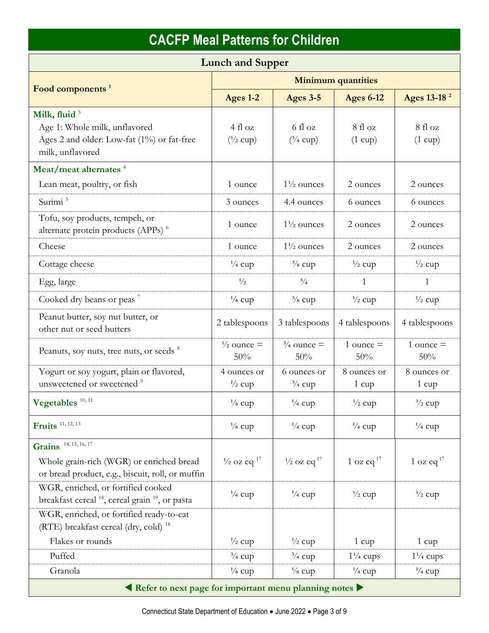| <b>Lunch and Supper</b>                                                                                                     |                                    |                                   |                            |                              |  |  |
|-----------------------------------------------------------------------------------------------------------------------------|------------------------------------|-----------------------------------|----------------------------|------------------------------|--|--|
| Food components <sup>1</sup>                                                                                                | <b>Minimum quantities</b>          |                                   |                            |                              |  |  |
|                                                                                                                             | Ages 1-2                           | <b>Ages 3-5</b>                   | <b>Ages 6-12</b>           | Ages 13-18 <sup>2</sup>      |  |  |
| Milk, fluid <sup>3</sup><br>Age 1: Whole milk, unflavored<br>Ages 2 and older: Low-fat (1%) or fat-free<br>milk, unflavored | 4f1oz<br>$(^{1}/_{2}$ cup)         | 6 fl oz<br>$(^3/4$ cup)           | 8f1oz<br>$(1 \text{ cup})$ | 8 fl oz<br>$(1 \text{ cup})$ |  |  |
| Meat/meat alternates <sup>4</sup>                                                                                           |                                    |                                   |                            |                              |  |  |
| Lean meat, poultry, or fish                                                                                                 | 1 ounce                            | $1\frac{1}{2}$ ounces             | 2 ounces                   | 2 ounces                     |  |  |
| Surimi <sup>5</sup>                                                                                                         | 3 ounces                           | 4.4 ounces                        | 6 ounces                   | 6 ounces                     |  |  |
| Tofu, soy products, tempeh, or<br>alternate protein products (APPs) <sup>6</sup>                                            | 1 ounce                            | $1\frac{1}{2}$ ounces             | 2 ounces                   | 2 ounces                     |  |  |
| Cheese                                                                                                                      | 1 ounce                            | $1\frac{1}{2}$ ounces             | 2 ounces                   | 2 ounces                     |  |  |
| Cottage cheese                                                                                                              | $\frac{1}{4}$ cup                  | $\frac{3}{8}$ cup                 | $\frac{1}{2}$ cup          | $\frac{1}{2}$ cup            |  |  |
| Egg, large                                                                                                                  | $\frac{1}{2}$                      | $^{3}/_{4}$                       | 1                          | 1                            |  |  |
| Cooked dry beans or peas <sup>7</sup>                                                                                       | $\frac{1}{4}$ cup                  | $\frac{3}{8}$ cup                 | $\frac{1}{2}$ cup          | $\frac{1}{2}$ cup            |  |  |
| Peanut butter, soy nut butter, or<br>other nut or seed butters                                                              | 2 tablespoons                      | 3 tablespoons                     | 4 tablespoons              | 4 tablespoons                |  |  |
| Peanuts, soy nuts, tree nuts, or seeds <sup>8</sup>                                                                         | $\frac{1}{2}$ ounce =<br>50%       | $\frac{3}{4}$ ounce =<br>50%      | 1 ounce $=$<br>50%         | 1 ounce $=$<br>50%           |  |  |
| Yogurt or soy yogurt, plain or flavored,<br>unsweetened or sweetened <sup>9</sup>                                           | 4 ounces or<br>$\frac{1}{2}$ cup   | 6 ounces or<br>$\frac{3}{4}$ cup  | 8 ounces or<br>1 cup       | 8 ounces or<br>1 cup         |  |  |
| Vegetables $^{10, 11}$                                                                                                      | $\frac{1}{8}$ cup                  | $\frac{1}{4}$ cup                 | $\frac{1}{2}$ cup          | $\frac{1}{2}$ cup            |  |  |
| <b>Fruits</b> 11, 12, 13                                                                                                    | $\frac{1}{8}$ cup                  | $\frac{1}{4}$ cup                 | $\frac{1}{4}$ cup          | $\frac{1}{4}$ cup            |  |  |
| Grains <sup>14, 15, 16, 17</sup>                                                                                            |                                    |                                   |                            |                              |  |  |
| Whole grain-rich (WGR) or enriched bread<br>or bread product, e.g., biscuit, roll, or muffin                                | $\frac{1}{2}$ oz eq $\frac{17}{2}$ | $\frac{1}{2}$ oz eq <sup>17</sup> | 1 oz eq $17$               | 1 oz eq $^{17}$              |  |  |
| WGR, enriched, or fortified cooked<br>breakfast cereal $^{18}$ , cereal grain $^{19}$ , or pasta                            | $\frac{1}{4}$ cup                  | $\frac{1}{4}$ cup                 | $\frac{1}{2}$ cup          | $\frac{1}{2}$ cup            |  |  |
| WGR, enriched, or fortified ready-to-eat<br>(RTE) breakfast cereal (dry, cold) $^{18}$                                      |                                    |                                   |                            |                              |  |  |
| Flakes or rounds                                                                                                            | $\frac{1}{2}$ cup                  | $\frac{1}{2}$ cup                 | $1 \text{ cup}$            | $1 \text{ cup}$              |  |  |
| Puffed                                                                                                                      | $\frac{3}{4}$ cup                  | $\frac{3}{4}$ cup                 | $1\frac{1}{4}$ cups        | $1\frac{1}{4}$ cups          |  |  |
| Granola                                                                                                                     | $\frac{1}{8}$ cup                  | $\frac{1}{8}$ cup                 | $\frac{1}{4}$ cup          | $\frac{1}{4}$ cup            |  |  |
| Refer to next page for important menu planning notes                                                                        |                                    |                                   |                            |                              |  |  |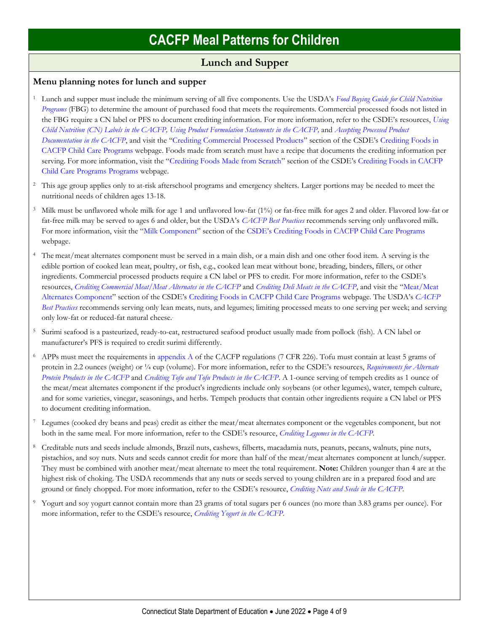## **Lunch and Supper**

### **Menu planning notes for lunch and supper**

- <sup>1</sup> Lunch and supper must include the minimum serving of all five components. Use the USDA's *[Food Buying Guide for Child Nutrition](https://www.fns.usda.gov/tn/food-buying-guide-for-child-nutrition-programs)  [Programs](https://www.fns.usda.gov/tn/food-buying-guide-for-child-nutrition-programs)* (FBG) to determine the amount of purchased food that meets the requirements. Commercial processed foods not listed in the FBG require a CN label or PFS to document crediting information. For more information, refer to the CSDE's resources, *[Using](https://portal.ct.gov/-/media/SDE/Nutrition/CACFP/Crediting/Using_CN_labels_CACFP.pdf)  [Child Nutrition \(CN\) Labels in the CACFP,](https://portal.ct.gov/-/media/SDE/Nutrition/CACFP/Crediting/Using_CN_labels_CACFP.pdf) [Using Product Formulation Statements in the CACFP,](https://portal.ct.gov/-/media/SDE/Nutrition/CACFP/Crediting/Using_Product_Formulation_Statements_CACFP.pdf)* and *[Accepting Processed Product](https://portal.ct.gov/-/media/SDE/Nutrition/CACFP/Crediting/Accepting_Processed_Product_Documentation_CACFP.pdf)  [Documentation in the CACFP](https://portal.ct.gov/-/media/SDE/Nutrition/CACFP/Crediting/Accepting_Processed_Product_Documentation_CACFP.pdf)*, and visit the "[Crediting Commercial Processed Products](https://portal.ct.gov/SDE/Nutrition/Crediting-Foods-in-CACFP-Child-Care-Programs/Documents#CommercialProducts)" section of the CSDE's [Crediting Foods in](https://portal.ct.gov/SDE/Nutrition/Crediting-Foods-in-CACFP-Child-Care-Programs/Documents)  [CACFP Child Care Programs](https://portal.ct.gov/SDE/Nutrition/Crediting-Foods-in-CACFP-Child-Care-Programs/Documents) webpage. Foods made from scratch must have a recipe that documents the crediting information per serving. For more information, visit the "[Crediting Foods Made from Scratch](https://portal.ct.gov/SDE/Nutrition/Crediting-Foods-in-CACFP-Child-Care-Programs/Documents#ScratchFoods)" section of the CSDE's [Crediting Foods in CACFP](https://portal.ct.gov/SDE/Nutrition/Crediting-Foods-in-CACFP-Child-Care-Programs/Documents)  [Child Care Programs](https://portal.ct.gov/SDE/Nutrition/Crediting-Foods-in-CACFP-Child-Care-Programs/Documents) Programs webpage.
- <sup>2</sup> This age group applies only to at-risk afterschool programs and emergency shelters. Larger portions may be needed to meet the nutritional needs of children ages 13-18.
- <sup>3</sup> Milk must be unflavored whole milk for age 1 and unflavored low-fat (1%) or fat-free milk for ages 2 and older. Flavored low-fat or fat-free milk may be served to ages 6 and older, but the USDA's *[CACFP Best Practices](https://fns-prod.azureedge.us/sites/default/files/cacfp/CACFP_factBP.pdf)* recommends serving only unflavored milk. For more information, visit the "[Milk Component](https://portal.ct.gov/SDE/Nutrition/Crediting-Foods-in-CACFP-Child-Care-Programs/Documents#Milk)" section of the CSDE's [Crediting Foods in CACFP Child Care Programs](https://portal.ct.gov/SDE/Nutrition/Crediting-Foods-in-CACFP-Child-Care-Programs/Documents) webpage.
- The meat/meat alternates component must be served in a main dish, or a main dish and one other food item. A serving is the edible portion of cooked lean meat, poultry, or fish, e.g., cooked lean meat without bone, breading, binders, fillers, or other ingredients. Commercial processed products require a CN label or PFS to credit. For more information, refer to the CSDE's resources, *[Crediting Commercial Meat/Meat Alternates in the CACFP](http://portal.ct.gov/-/media/SDE/Nutrition/CACFP/Crediting/Credit_Commercial_MMA_CACFP.pdf)* and *[Crediting Deli Meats in the CACFP](https://portal.ct.gov/-/media/SDE/Nutrition/CACFP/Crediting/Credit_Deli_CACFP.pdf)*, and visit the "[Meat/Meat](https://portal.ct.gov/SDE/Nutrition/Crediting-Foods-in-CACFP-Child-Care-Programs/Documents#MMA)  [Alternates Component](https://portal.ct.gov/SDE/Nutrition/Crediting-Foods-in-CACFP-Child-Care-Programs/Documents#MMA)" section of the CSDE's [Crediting Foods in CACFP Child Care Programs](https://portal.ct.gov/SDE/Nutrition/Crediting-Foods-in-CACFP-Child-Care-Programs) webpage. The USDA's *[CACFP](https://fns-prod.azureedge.us/sites/default/files/cacfp/CACFP_factBP.pdf)  [Best Practices](https://fns-prod.azureedge.us/sites/default/files/cacfp/CACFP_factBP.pdf)* recommends serving only lean meats, nuts, and legumes; limiting processed meats to one serving per week; and serving only low-fat or reduced-fat natural cheese..
- <sup>5</sup> Surimi seafood is a pasteurized, ready-to-eat, restructured seafood product usually made from pollock (fish). A CN label or manufacturer's PFS is required to credit surimi differently.
- <sup>6</sup> APPs must meet the requirements in [appendix A](https://www.ecfr.gov/cgi-bin/text-idx?SID=4c211a738d6109939c6054a6286ac109&mc=true&node=pt7.4.226&rgn=div5#ap7.4.226_127.a) of the CACFP regulations (7 CFR 226). Tofu must contain at least 5 grams of protein in 2.2 ounces (weight) or ¼ cup (volume). For more information, refer to the CSDE's resources, *[Requirements for Alternate](https://portal.ct.gov/-/media/SDE/Nutrition/CACFP/Crediting/APP_Requirements_CACFP.pdf)  [Protein Products in the CACFP](https://portal.ct.gov/-/media/SDE/Nutrition/CACFP/Crediting/APP_Requirements_CACFP.pdf)* and *[Crediting Tofu and Tofu Products in the CACFP](https://portal.ct.gov/-/media/SDE/Nutrition/CACFP/Crediting/Credit_Tofu_CACFP.pdf)*. A 1-ounce serving of tempeh credits as 1 ounce of the meat/meat alternates component if the product's ingredients include only soybeans (or other legumes), water, tempeh culture, and for some varieties, vinegar, seasonings, and herbs. Tempeh products that contain other ingredients require a CN label or PFS to document crediting information.
- Legumes (cooked dry beans and peas) credit as either the meat/meat alternates component or the vegetables component, but not both in the same meal. For more information, refer to the CSDE's resource, *[Crediting Legumes in the CACFP.](https://portal.ct.gov/-/media/SDE/Nutrition/CACFP/Crediting/Credit_Legumes_CACFP.pdf)*
- <sup>8</sup> Creditable nuts and seeds include almonds, Brazil nuts, cashews, filberts, macadamia nuts, peanuts, pecans, walnuts, pine nuts, pistachios, and soy nuts. Nuts and seeds cannot credit for more than half of the meat/meat alternates component at lunch/supper. They must be combined with another meat/meat alternate to meet the total requirement. **Note:** Children younger than 4 are at the highest risk of choking. The USDA recommends that any nuts or seeds served to young children are in a prepared food and are ground or finely chopped. For more information, refer to the CSDE's resource, *[Crediting Nuts and Seeds in the CACFP](https://portal.ct.gov/-/media/SDE/Nutrition/CACFP/Crediting/Credit_Nuts_Seeds_CACFP.pdf)*.
- <sup>9</sup> Yogurt and soy yogurt cannot contain more than 23 grams of total sugars per 6 ounces (no more than 3.83 grams per ounce). For more information, refer to the CSDE's resource, *[Crediting Yogurt in the CACFP.](https://portal.ct.gov/-/media/SDE/Nutrition/CACFP/Crediting/Credit_Yogurt_CACFP.pdf)*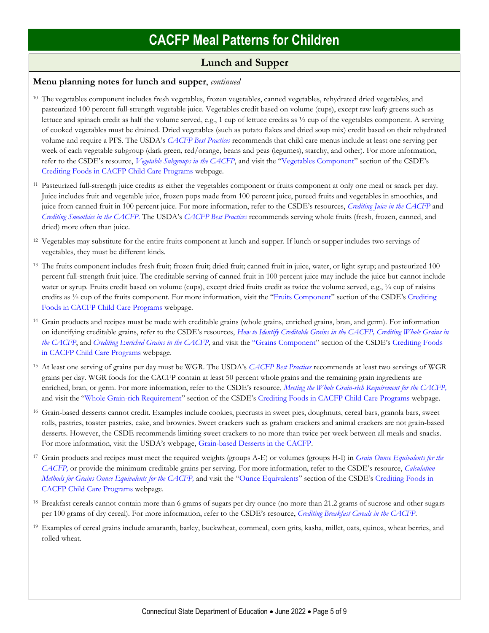### **Lunch and Supper**

### **Menu planning notes for lunch and supper**, *continued*

- <sup>10</sup> The vegetables component includes fresh vegetables, frozen vegetables, canned vegetables, rehydrated dried vegetables, and pasteurized 100 percent full-strength vegetable juice. Vegetables credit based on volume (cups), except raw leafy greens such as lettuce and spinach credit as half the volume served, e.g., 1 cup of lettuce credits as ½ cup of the vegetables component. A serving of cooked vegetables must be drained. Dried vegetables (such as potato flakes and dried soup mix) credit based on their rehydrated volume and require a PFS. The USDA's *[CACFP Best Practices](https://fns-prod.azureedge.us/sites/default/files/cacfp/CACFP_factBP.pdf)* recommends that child care menus include at least one serving per week of each vegetable subgroup (dark green, red/orange, beans and peas (legumes), starchy, and other). For more information, refer to the CSDE's resource, *[Vegetable Subgroups in the CACFP](https://portal.ct.gov/-/media/SDE/Nutrition/CACFP/Crediting/Vegetable_Subgroups_CACFP.pdf)*, and visit the "[Vegetables Component](https://portal.ct.gov/SDE/Nutrition/Crediting-Foods-in-CACFP-Child-Care-Programs/Documents#Vegetables)" section of the CSDE's [Crediting Foods in CACFP Child Care Programs](https://portal.ct.gov/SDE/Nutrition/Crediting-Foods-in-CACFP-Child-Care-Programs/Documents) webpage.
- <sup>11</sup> Pasteurized full-strength juice credits as either the vegetables component or fruits component at only one meal or snack per day. Juice includes fruit and vegetable juice, frozen pops made from 100 percent juice, pureed fruits and vegetables in smoothies, and juice from canned fruit in 100 percent juice. For more information, refer to the CSDE's resources, *[Crediting Juice in the CACFP](https://portal.ct.gov/-/media/SDE/Nutrition/CACFP/Crediting/Credit_Juice_CACFP.pdf)* and *[Crediting Smoothies in the CACFP.](https://portal.ct.gov/-/media/SDE/Nutrition/CACFP/Crediting/Credit_Smoothies_CACFP.pdf)* The USDA's *[CACFP Best Practices](https://fns-prod.azureedge.us/sites/default/files/cacfp/CACFP_factBP.pdf)* recommends serving whole fruits (fresh, frozen, canned, and dried) more often than juice.
- <sup>12</sup> Vegetables may substitute for the entire fruits component at lunch and supper. If lunch or supper includes two servings of vegetables, they must be different kinds.
- <sup>13</sup> The fruits component includes fresh fruit; frozen fruit; dried fruit; canned fruit in juice, water, or light syrup; and pasteurized 100 percent full-strength fruit juice. The creditable serving of canned fruit in 100 percent juice may include the juice but cannot include water or syrup. Fruits credit based on volume (cups), except dried fruits credit as twice the volume served, e.g., 1/4 cup of raisins credits as ½ cup of the fruits component. For more information, visit the "[Fruits Component](https://portal.ct.gov/SDE/Nutrition/Crediting-Foods-in-CACFP-Child-Care-Programs/Documents#Fruits)" section of the CSDE's [Crediting](https://portal.ct.gov/SDE/Nutrition/Crediting-Foods-in-CACFP-Child-Care-Programs/Documents)  [Foods in CACFP Child Care Programs](https://portal.ct.gov/SDE/Nutrition/Crediting-Foods-in-CACFP-Child-Care-Programs/Documents) webpage.
- <sup>14</sup> Grain products and recipes must be made with creditable grains (whole grains, enriched grains, bran, and germ). For information on identifying creditable grains, refer to the CSDE's resources, *[How to Identify Creditable Grains in the CACFP,](https://portal.ct.gov/-/media/SDE/Nutrition/CACFP/Crediting/Identify_Creditable_Grains_CACFP.pdf) [Crediting Whole Grains in](https://portal.ct.gov/-/media/SDE/Nutrition/CACFP/Crediting/Credit_Whole_Grains_CACFP.pdf)  [the CACFP](https://portal.ct.gov/-/media/SDE/Nutrition/CACFP/Crediting/Credit_Whole_Grains_CACFP.pdf)*, and *[Crediting Enriched Grains in the CACFP,](https://portal.ct.gov/-/media/SDE/Nutrition/CACFP/Crediting/Credit_Enriched_Grains_CACFP.pdf)* and visit the "[Grains Component](https://portal.ct.gov/SDE/Nutrition/Crediting-Foods-in-CACFP-Child-Care-Programs/Documents#Grains)" section of the CSDE's [Crediting Foods](https://portal.ct.gov/SDE/Nutrition/Crediting-Foods-in-CACFP-Child-Care-Programs/Documents)  [in CACFP Child Care Programs](https://portal.ct.gov/SDE/Nutrition/Crediting-Foods-in-CACFP-Child-Care-Programs/Documents) webpage.
- <sup>15</sup> At least one serving of grains per day must be WGR. The USDA's *[CACFP Best Practices](https://fns-prod.azureedge.us/sites/default/files/cacfp/CACFP_factBP.pdf)* recommends at least two servings of WGR grains per day. WGR foods for the CACFP contain at least 50 percent whole grains and the remaining grain ingredients are enriched, bran, or germ. For more information, refer to the CSDE's resource, *[Meeting the Whole Grain-rich Requirement for the CACFP,](https://portal.ct.gov/-/media/SDE/Nutrition/CACFP/Crediting/WGR_Requirement_CACFP.pdf)* and visit the "[Whole Grain-rich Requirement](https://portal.ct.gov/SDE/Nutrition/Crediting-Foods-in-CACFP-Child-Care-Programs/Documents#WGR)" section of the CSDE's [Crediting Foods in CACFP Child Care Programs](https://portal.ct.gov/SDE/Nutrition/Crediting-Foods-in-CACFP-Child-Care-Programs/Documents) webpage.
- <sup>16</sup> Grain-based desserts cannot credit. Examples include cookies, piecrusts in sweet pies, doughnuts, cereal bars, granola bars, sweet rolls, pastries, toaster pastries, cake, and brownies. Sweet crackers such as graham crackers and animal crackers are not grain-based desserts. However, the CSDE recommends limiting sweet crackers to no more than twice per week between all meals and snacks. For more information, visit the USDA's webpage, [Grain-based Desserts in the CACFP.](https://www.fns.usda.gov/tn/grain-based-desserts-cacfp)
- <sup>17</sup> Grain products and recipes must meet the required weights (groups A-E) or volumes (groups H-I) in *[Grain Ounce Equivalents for the](https://portal.ct.gov/-/media/SDE/Nutrition/CACFP/Crediting/Grain_Oz_Eq_CACFP.pdf)  [CACFP,](https://portal.ct.gov/-/media/SDE/Nutrition/CACFP/Crediting/Grain_Oz_Eq_CACFP.pdf)* or provide the minimum creditable grains per serving. For more information, refer to the CSDE's resource, *[Calculation](https://portal.ct.gov/-/media/SDE/Nutrition/CACFP/Crediting/Grain_Calculation_CACFP_oz_eq.pdf)  [Methods for Grains Ounce Equivalents for the CACFP,](https://portal.ct.gov/-/media/SDE/Nutrition/CACFP/Crediting/Grain_Calculation_CACFP_oz_eq.pdf)* and visit the "[Ounce Equivalents](https://portal.ct.gov/SDE/Nutrition/Crediting-Foods-in-CACFP-Child-Care-Programs/Documents#OunceEquivalents)" section of the CSDE's [Crediting Foods in](https://portal.ct.gov/SDE/Nutrition/Crediting-Foods-in-CACFP-Child-Care-Programs/Documents)  [CACFP Child Care Programs](https://portal.ct.gov/SDE/Nutrition/Crediting-Foods-in-CACFP-Child-Care-Programs/Documents) webpage.
- <sup>18</sup> Breakfast cereals cannot contain more than 6 grams of sugars per dry ounce (no more than 21.2 grams of sucrose and other sugars per 100 grams of dry cereal). For more information, refer to the CSDE's resource, *[Crediting Breakfast Cereals in the CACFP](https://portal.ct.gov/-/media/SDE/Nutrition/CACFP/Crediting/Credit_Cereals_CACFP.pdf)*.
- <sup>19</sup> Examples of cereal grains include amaranth, barley, buckwheat, cornmeal, corn grits, kasha, millet, oats, quinoa, wheat berries, and rolled wheat.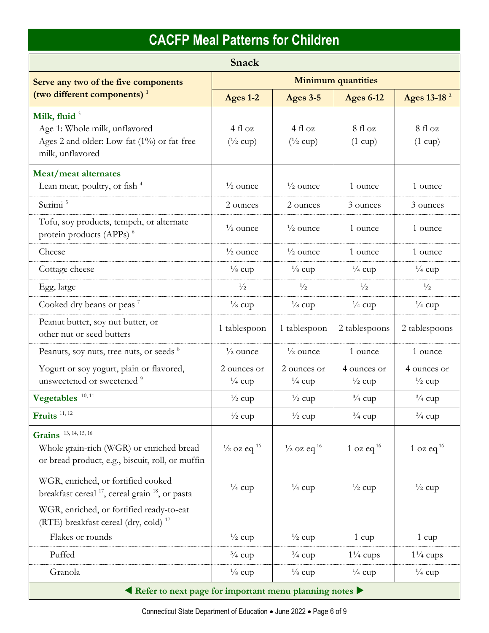| Snack                                                                                                                 |                                    |                                   |                                  |                                  |  |  |
|-----------------------------------------------------------------------------------------------------------------------|------------------------------------|-----------------------------------|----------------------------------|----------------------------------|--|--|
| Serve any two of the five components                                                                                  | <b>Minimum quantities</b>          |                                   |                                  |                                  |  |  |
| (two different components) <sup>1</sup>                                                                               | Ages 1-2                           | <b>Ages 3-5</b>                   | <b>Ages 6-12</b>                 | Ages 13-18 <sup>2</sup>          |  |  |
| Milk, fluid $3$<br>Age 1: Whole milk, unflavored<br>Ages 2 and older: Low-fat (1%) or fat-free<br>milk, unflavored    | 4 fl oz<br>$(^{1}/_{2}$ cup)       | 4f1oz<br>$(^{1}/_{2}$ cup)        | 8 fl oz<br>$(1 \text{ cup})$     | 8 fl oz<br>$(1 \text{ cup})$     |  |  |
| Meat/meat alternates                                                                                                  |                                    |                                   |                                  |                                  |  |  |
| Lean meat, poultry, or fish <sup>4</sup>                                                                              | $\frac{1}{2}$ ounce                | $\frac{1}{2}$ ounce               | 1 ounce                          | 1 ounce                          |  |  |
| Surimi <sup>5</sup>                                                                                                   | 2 ounces                           | 2 ounces                          | 3 ounces                         | 3 ounces                         |  |  |
| Tofu, soy products, tempeh, or alternate<br>protein products (APPs) <sup>6</sup>                                      | $\frac{1}{2}$ ounce                | $\frac{1}{2}$ ounce               | 1 ounce                          | 1 ounce                          |  |  |
| Cheese                                                                                                                | $\frac{1}{2}$ ounce                | $\frac{1}{2}$ ounce               | 1 ounce                          | 1 ounce                          |  |  |
| Cottage cheese                                                                                                        | $\frac{1}{8}$ cup                  | $\frac{1}{8}$ cup                 | $\frac{1}{4}$ cup                | $\frac{1}{4}$ cup                |  |  |
| Egg, large                                                                                                            | $\frac{1}{2}$                      | $\frac{1}{2}$                     | $\frac{1}{2}$                    | $\frac{1}{2}$                    |  |  |
| Cooked dry beans or peas <sup>7</sup>                                                                                 | $\frac{1}{8}$ cup                  | $\frac{1}{8}$ cup                 | $\frac{1}{4}$ cup                | $\frac{1}{4}$ cup                |  |  |
| Peanut butter, soy nut butter, or<br>other nut or seed butters                                                        | 1 tablespoon                       | 1 tablespoon                      | 2 tablespoons                    | 2 tablespoons                    |  |  |
| Peanuts, soy nuts, tree nuts, or seeds 8                                                                              | $\frac{1}{2}$ ounce                | $\frac{1}{2}$ ounce               | 1 ounce                          | 1 ounce                          |  |  |
| Yogurt or soy yogurt, plain or flavored,<br>unsweetened or sweetened <sup>9</sup>                                     | 2 ounces or<br>$\frac{1}{4}$ cup   | 2 ounces or<br>$\frac{1}{4}$ cup  | 4 ounces or<br>$\frac{1}{2}$ cup | 4 ounces or<br>$\frac{1}{2}$ cup |  |  |
| Vegetables <sup>10, 11</sup>                                                                                          | $\frac{1}{2}$ cup                  | $\frac{1}{2}$ cup                 | $\frac{3}{4}$ cup                | $\frac{3}{4}$ cup                |  |  |
| Fruits $11, 12$                                                                                                       | $\frac{1}{2}$ cup                  | $\frac{1}{2}$ cup                 | $\frac{3}{4}$ cup                | $\frac{3}{4}$ cup                |  |  |
| Grains 13, 14, 15, 16<br>Whole grain-rich (WGR) or enriched bread<br>or bread product, e.g., biscuit, roll, or muffin | $\frac{1}{2}$ oz eq $\frac{16}{2}$ | $\frac{1}{2}$ oz eq <sup>16</sup> | 1 oz eq $^{16}$                  | 1 oz eq $^{16}$                  |  |  |
| WGR, enriched, or fortified cooked<br>breakfast cereal <sup>17</sup> , cereal grain <sup>18</sup> , or pasta          | $\frac{1}{4}$ cup                  | $\frac{1}{4}$ cup                 | $\frac{1}{2}$ cup                | $\frac{1}{2}$ cup                |  |  |
| WGR, enriched, or fortified ready-to-eat<br>(RTE) breakfast cereal (dry, cold) <sup>17</sup>                          |                                    |                                   |                                  |                                  |  |  |
| Flakes or rounds                                                                                                      | $\frac{1}{2}$ cup                  | $\frac{1}{2}$ cup                 | $1 \text{ cup}$                  | $1 \text{ cup}$                  |  |  |
| Puffed                                                                                                                | $\frac{3}{4}$ cup                  | $\frac{3}{4}$ cup                 | $1\frac{1}{4}$ cups              | $1\frac{1}{4}$ cups              |  |  |
| Granola                                                                                                               | $\frac{1}{8}$ cup                  | $\frac{1}{8}$ cup                 | $\frac{1}{4}$ cup                | $\frac{1}{4}$ cup                |  |  |
| Refer to next page for important menu planning notes                                                                  |                                    |                                   |                                  |                                  |  |  |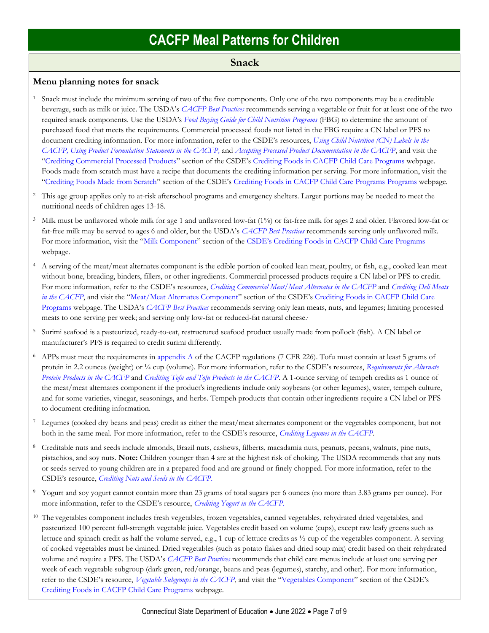### **Snack**

#### **Menu planning notes for snack**

- <sup>1</sup> Snack must include the minimum serving of two of the five components. Only one of the two components may be a creditable beverage, such as milk or juice. The USDA's *[CACFP Best Practices](https://fns-prod.azureedge.us/sites/default/files/cacfp/CACFP_factBP.pdf)* recommends serving a vegetable or fruit for at least one of the two required snack components. Use the USDA's *[Food Buying Guide for Child Nutrition Programs](https://www.fns.usda.gov/tn/food-buying-guide-for-child-nutrition-programs)* (FBG) to determine the amount of purchased food that meets the requirements. Commercial processed foods not listed in the FBG require a CN label or PFS to document crediting information. For more information, refer to the CSDE's resources, *[Using Child Nutrition \(CN\) Labels in the](https://portal.ct.gov/-/media/SDE/Nutrition/CACFP/Crediting/Using_CN_labels_CACFP.pdf)  [CACFP,](https://portal.ct.gov/-/media/SDE/Nutrition/CACFP/Crediting/Using_CN_labels_CACFP.pdf) [Using Product Formulation Statements in the CACFP,](https://portal.ct.gov/-/media/SDE/Nutrition/CACFP/Crediting/Using_Product_Formulation_Statements_CACFP.pdf)* and *[Accepting Processed Product Documentation in the CACFP](https://portal.ct.gov/-/media/SDE/Nutrition/CACFP/Crediting/Accepting_Processed_Product_Documentation_CACFP.pdf)*, and visit the "[Crediting Commercial Processed Products](https://portal.ct.gov/SDE/Nutrition/Crediting-Foods-in-CACFP-Child-Care-Programs/Documents#CommercialProducts)" section of the CSDE's [Crediting Foods in CACFP Child Care Programs](https://portal.ct.gov/SDE/Nutrition/Crediting-Foods-in-CACFP-Child-Care-Programs/Documents) webpage. Foods made from scratch must have a recipe that documents the crediting information per serving. For more information, visit the "[Crediting Foods Made from Scratch](https://portal.ct.gov/SDE/Nutrition/Crediting-Foods-in-CACFP-Child-Care-Programs/Documents#ScratchFoods)" section of the CSDE's [Crediting Foods in CACFP Child Care Programs](https://portal.ct.gov/SDE/Nutrition/Crediting-Foods-in-CACFP-Child-Care-Programs/Documents) Programs webpage.
- <sup>2</sup> This age group applies only to at-risk afterschool programs and emergency shelters. Larger portions may be needed to meet the nutritional needs of children ages 13-18.
- <sup>3</sup> Milk must be unflavored whole milk for age 1 and unflavored low-fat (1%) or fat-free milk for ages 2 and older. Flavored low-fat or fat-free milk may be served to ages 6 and older, but the USDA's *[CACFP Best Practices](https://fns-prod.azureedge.us/sites/default/files/cacfp/CACFP_factBP.pdf)* recommends serving only unflavored milk. For more information, visit the "[Milk Component](https://portal.ct.gov/SDE/Nutrition/Crediting-Foods-in-CACFP-Child-Care-Programs/Documents#Milk)" section of the CSDE's [Crediting Foods in CACFP Child Care Programs](https://portal.ct.gov/SDE/Nutrition/Crediting-Foods-in-CACFP-Child-Care-Programs/Documents) webpage.
- <sup>4</sup> A serving of the meat/meat alternates component is the edible portion of cooked lean meat, poultry, or fish, e.g., cooked lean meat without bone, breading, binders, fillers, or other ingredients. Commercial processed products require a CN label or PFS to credit. For more information, refer to the CSDE's resources, *[Crediting Commercial Meat/Meat Alternates in the CACFP](http://portal.ct.gov/-/media/SDE/Nutrition/CACFP/Crediting/Credit_Commercial_MMA_CACFP.pdf)* and *[Crediting Deli Meats](https://portal.ct.gov/-/media/SDE/Nutrition/CACFP/Crediting/Credit_Deli_CACFP.pdf)  [in the CACFP](https://portal.ct.gov/-/media/SDE/Nutrition/CACFP/Crediting/Credit_Deli_CACFP.pdf)*, and visit the "[Meat/Meat Alternates Component](https://portal.ct.gov/SDE/Nutrition/Crediting-Foods-in-CACFP-Child-Care-Programs/Documents#MMA)" section of the CSDE's Crediting Foods in CACFP Child Care [Programs](https://portal.ct.gov/SDE/Nutrition/Crediting-Foods-in-CACFP-Child-Care-Programs) webpage. The USDA's *[CACFP Best Practices](https://fns-prod.azureedge.us/sites/default/files/cacfp/CACFP_factBP.pdf)* recommends serving only lean meats, nuts, and legumes; limiting processed meats to one serving per week; and serving only low-fat or reduced-fat natural cheese..
- <sup>5</sup> Surimi seafood is a pasteurized, ready-to-eat, restructured seafood product usually made from pollock (fish). A CN label or manufacturer's PFS is required to credit surimi differently.
- <sup>6</sup> APPs must meet the requirements in [appendix A](https://www.ecfr.gov/cgi-bin/text-idx?SID=4c211a738d6109939c6054a6286ac109&mc=true&node=pt7.4.226&rgn=div5#ap7.4.226_127.a) of the CACFP regulations (7 CFR 226). Tofu must contain at least 5 grams of protein in 2.2 ounces (weight) or ¼ cup (volume). For more information, refer to the CSDE's resources, *[Requirements for Alternate](https://portal.ct.gov/-/media/SDE/Nutrition/CACFP/Crediting/APP_Requirements_CACFP.pdf)  [Protein Products in the CACFP](https://portal.ct.gov/-/media/SDE/Nutrition/CACFP/Crediting/APP_Requirements_CACFP.pdf)* and *[Crediting Tofu and Tofu Products in the CACFP](https://portal.ct.gov/-/media/SDE/Nutrition/CACFP/Crediting/Credit_Tofu_CACFP.pdf)*. A 1-ounce serving of tempeh credits as 1 ounce of the meat/meat alternates component if the product's ingredients include only soybeans (or other legumes), water, tempeh culture, and for some varieties, vinegar, seasonings, and herbs. Tempeh products that contain other ingredients require a CN label or PFS to document crediting information.
- Legumes (cooked dry beans and peas) credit as either the meat/meat alternates component or the vegetables component, but not both in the same meal. For more information, refer to the CSDE's resource, *[Crediting Legumes in the CACFP.](https://portal.ct.gov/-/media/SDE/Nutrition/CACFP/Crediting/Credit_Legumes_CACFP.pdf)*
- <sup>8</sup> Creditable nuts and seeds include almonds, Brazil nuts, cashews, filberts, macadamia nuts, peanuts, pecans, walnuts, pine nuts, pistachios, and soy nuts. **Note:** Children younger than 4 are at the highest risk of choking. The USDA recommends that any nuts or seeds served to young children are in a prepared food and are ground or finely chopped. For more information, refer to the CSDE's resource, *[Crediting Nuts and Seeds in the CACFP.](https://portal.ct.gov/-/media/SDE/Nutrition/CACFP/Crediting/Credit_Nuts_Seeds_CACFP.pdf)*
- <sup>9</sup> Yogurt and soy yogurt cannot contain more than 23 grams of total sugars per 6 ounces (no more than 3.83 grams per ounce). For more information, refer to the CSDE's resource, *[Crediting Yogurt in the CACFP.](https://portal.ct.gov/-/media/SDE/Nutrition/CACFP/Crediting/Credit_Yogurt_CACFP.pdf)*
- <sup>10</sup> The vegetables component includes fresh vegetables, frozen vegetables, canned vegetables, rehydrated dried vegetables, and pasteurized 100 percent full-strength vegetable juice. Vegetables credit based on volume (cups), except raw leafy greens such as lettuce and spinach credit as half the volume served, e.g., 1 cup of lettuce credits as ½ cup of the vegetables component. A serving of cooked vegetables must be drained. Dried vegetables (such as potato flakes and dried soup mix) credit based on their rehydrated volume and require a PFS. The USDA's *[CACFP Best Practices](https://fns-prod.azureedge.us/sites/default/files/cacfp/CACFP_factBP.pdf)* recommends that child care menus include at least one serving per week of each vegetable subgroup (dark green, red/orange, beans and peas (legumes), starchy, and other). For more information, refer to the CSDE's resource, *[Vegetable Subgroups in the CACFP](https://portal.ct.gov/-/media/SDE/Nutrition/CACFP/Crediting/Vegetable_Subgroups_CACFP.pdf)*, and visit the "[Vegetables Component](https://portal.ct.gov/SDE/Nutrition/Crediting-Foods-in-CACFP-Child-Care-Programs/Documents#Vegetables)" section of the CSDE's [Crediting Foods in CACFP Child Care Programs](https://portal.ct.gov/SDE/Nutrition/Crediting-Foods-in-CACFP-Child-Care-Programs/Documents) webpage.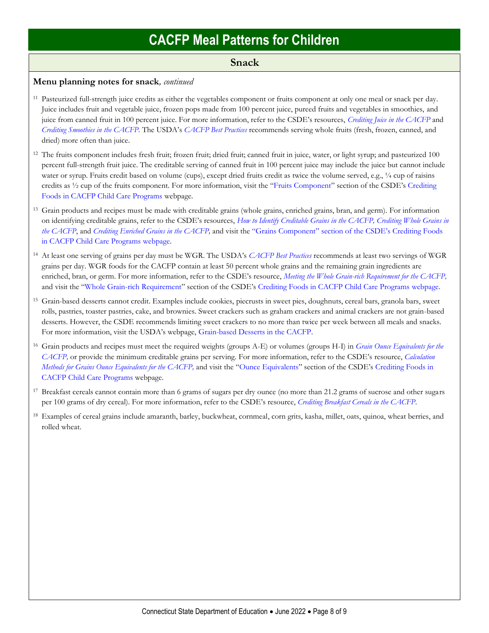### **Snack**

#### **Menu planning notes for snack***, continued*

- <sup>11</sup> Pasteurized full-strength juice credits as either the vegetables component or fruits component at only one meal or snack per day. Juice includes fruit and vegetable juice, frozen pops made from 100 percent juice, pureed fruits and vegetables in smoothies, and juice from canned fruit in 100 percent juice. For more information, refer to the CSDE's resources, *[Crediting Juice in the CACFP](https://portal.ct.gov/-/media/SDE/Nutrition/CACFP/Crediting/Credit_Juice_CACFP.pdf)* and *[Crediting Smoothies in the CACFP.](https://portal.ct.gov/-/media/SDE/Nutrition/CACFP/Crediting/Credit_Smoothies_CACFP.pdf)* The USDA's *[CACFP Best Practices](https://fns-prod.azureedge.us/sites/default/files/cacfp/CACFP_factBP.pdf)* recommends serving whole fruits (fresh, frozen, canned, and dried) more often than juice.
- <sup>12</sup> The fruits component includes fresh fruit; frozen fruit; dried fruit; canned fruit in juice, water, or light syrup; and pasteurized 100 percent full-strength fruit juice. The creditable serving of canned fruit in 100 percent juice may include the juice but cannot include water or syrup. Fruits credit based on volume (cups), except dried fruits credit as twice the volume served, e.g., 1/4 cup of raisins credits as ½ cup of the fruits component. For more information, visit the "[Fruits Component](https://portal.ct.gov/SDE/Nutrition/Crediting-Foods-in-CACFP-Child-Care-Programs/Documents#Fruits)" section of the CSDE's [Crediting](https://portal.ct.gov/SDE/Nutrition/Crediting-Foods-in-CACFP-Child-Care-Programs/Documents)  [Foods in CACFP Child Care Programs](https://portal.ct.gov/SDE/Nutrition/Crediting-Foods-in-CACFP-Child-Care-Programs/Documents) webpage.
- <sup>13</sup> Grain products and recipes must be made with creditable grains (whole grains, enriched grains, bran, and germ). For information on identifying creditable grains, refer to the CSDE's resources, *[How to Identify Creditable Grains in the CACFP,](https://portal.ct.gov/-/media/SDE/Nutrition/CACFP/Crediting/Identify_Creditable_Grains_CACFP.pdf) [Crediting Whole Grains in](https://portal.ct.gov/-/media/SDE/Nutrition/CACFP/Crediting/Credit_Whole_Grains_CACFP.pdf)  [the CACFP](https://portal.ct.gov/-/media/SDE/Nutrition/CACFP/Crediting/Credit_Whole_Grains_CACFP.pdf)*, and *[Crediting Enriched Grains in the CACFP,](https://portal.ct.gov/-/media/SDE/Nutrition/CACFP/Crediting/Credit_Enriched_Grains_CACFP.pdf)* and visit the "[Grains Component](https://portal.ct.gov/SDE/Nutrition/Crediting-Foods-in-CACFP-Child-Care-Programs/Documents#Grains)" section of the CSDE's [Crediting Foods](https://portal.ct.gov/SDE/Nutrition/Crediting-Foods-in-CACFP-Child-Care-Programs/Documents)  [in CACFP Child Care Programs](https://portal.ct.gov/SDE/Nutrition/Crediting-Foods-in-CACFP-Child-Care-Programs/Documents) webpage.
- <sup>14</sup> At least one serving of grains per day must be WGR. The USDA's *[CACFP Best Practices](https://fns-prod.azureedge.us/sites/default/files/cacfp/CACFP_factBP.pdf)* recommends at least two servings of WGR grains per day. WGR foods for the CACFP contain at least 50 percent whole grains and the remaining grain ingredients are enriched, bran, or germ. For more information, refer to the CSDE's resource, *[Meeting the Whole Grain-rich Requirement for the CACFP,](https://portal.ct.gov/-/media/SDE/Nutrition/CACFP/Crediting/WGR_Requirement_CACFP.pdf)* and visit the "[Whole Grain-rich Requirement](https://portal.ct.gov/SDE/Nutrition/Crediting-Foods-in-CACFP-Child-Care-Programs/Documents#WGR)" section of the CSDE's [Crediting Foods in CACFP Child Care Programs](https://portal.ct.gov/SDE/Nutrition/Crediting-Foods-in-CACFP-Child-Care-Programs/Documents) webpage.
- <sup>15</sup> Grain-based desserts cannot credit. Examples include cookies, piecrusts in sweet pies, doughnuts, cereal bars, granola bars, sweet rolls, pastries, toaster pastries, cake, and brownies. Sweet crackers such as graham crackers and animal crackers are not grain-based desserts. However, the CSDE recommends limiting sweet crackers to no more than twice per week between all meals and snacks. For more information, visit the USDA's webpage, [Grain-based Desserts in the CACFP.](https://www.fns.usda.gov/tn/grain-based-desserts-cacfp)
- <sup>16</sup> Grain products and recipes must meet the required weights (groups A-E) or volumes (groups H-I) in *[Grain Ounce Equivalents for the](https://portal.ct.gov/-/media/SDE/Nutrition/CACFP/Crediting/Grain_Oz_Eq_CACFP.pdf)  [CACFP,](https://portal.ct.gov/-/media/SDE/Nutrition/CACFP/Crediting/Grain_Oz_Eq_CACFP.pdf)* or provide the minimum creditable grains per serving. For more information, refer to the CSDE's resource, *[Calculation](https://portal.ct.gov/-/media/SDE/Nutrition/CACFP/Crediting/Grain_Calculation_CACFP_oz_eq.pdf)  [Methods for Grains Ounce Equivalents for the CACFP,](https://portal.ct.gov/-/media/SDE/Nutrition/CACFP/Crediting/Grain_Calculation_CACFP_oz_eq.pdf)* and visit the "[Ounce Equivalents](https://portal.ct.gov/SDE/Nutrition/Crediting-Foods-in-CACFP-Child-Care-Programs/Documents#OunceEquivalents)" section of the CSDE's [Crediting Foods in](https://portal.ct.gov/SDE/Nutrition/Crediting-Foods-in-CACFP-Child-Care-Programs/Documents)  [CACFP Child Care Programs](https://portal.ct.gov/SDE/Nutrition/Crediting-Foods-in-CACFP-Child-Care-Programs/Documents) webpage.
- <sup>17</sup> Breakfast cereals cannot contain more than 6 grams of sugars per dry ounce (no more than 21.2 grams of sucrose and other sugars per 100 grams of dry cereal). For more information, refer to the CSDE's resource, *[Crediting Breakfast Cereals in the CACFP](https://portal.ct.gov/-/media/SDE/Nutrition/CACFP/Crediting/Credit_Cereals_CACFP.pdf)*.
- <sup>18</sup> Examples of cereal grains include amaranth, barley, buckwheat, cornmeal, corn grits, kasha, millet, oats, quinoa, wheat berries, and rolled wheat.